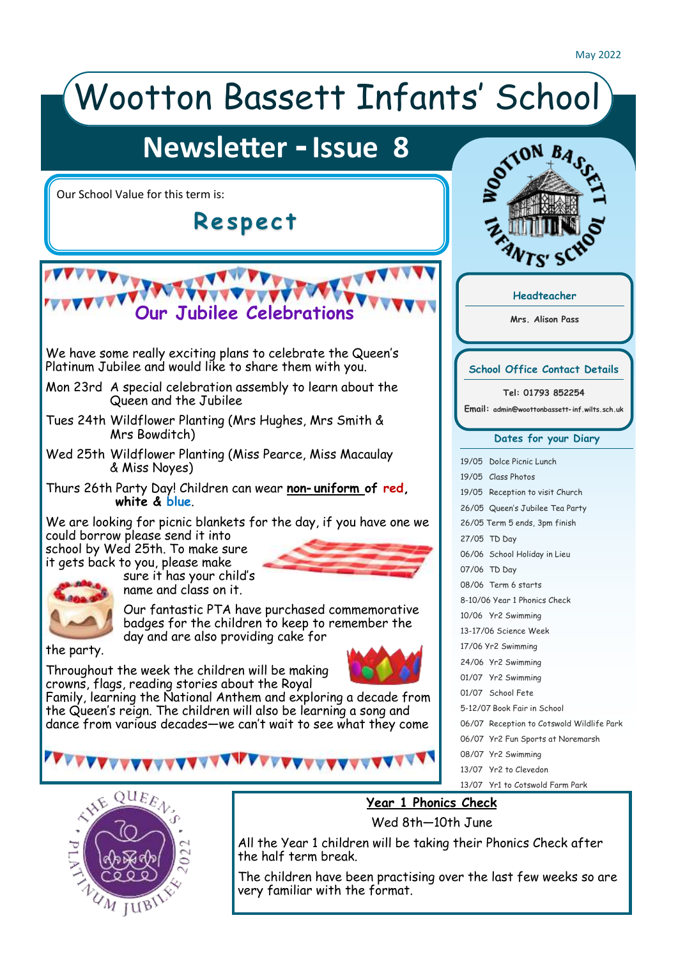#### Wootton Bassett Infants' School **Newsletter - Issue 8 TON**  $B_4$ Our School Value for this term is: **R e s p e c t** 7c<sup>,</sup> S **Headteacher Our Jubilee Celebrations Mrs. Alison Pass** We have some really exciting plans to celebrate the Queen's Platinum Jubilee and would like to share them with you. **School Office Contact Details** Mon 23rd A special celebration assembly to learn about the **Tel: 01793 852254** Queen and the Jubilee **Email: admin@woottonbassett-inf.wilts.sch.uk** Tues 24th Wildflower Planting (Mrs Hughes, Mrs Smith & Mrs Bowditch) **Dates for your Diary** Wed 25th Wildflower Planting (Miss Pearce, Miss Macaulay 19/05 Dolce Picnic Lunch & Miss Noyes) 19/05 Class Photos Thurs 26th Party Day! Children can wear **non-uniform of red,**  19/05 Reception to visit Church **white & blue**. 26/05 Queen's Jubilee Tea Party We are looking for picnic blankets for the day, if you have one we 26/05 Term 5 ends, 3pm finish could borrow please send it into 27/05 TD Day school by Wed 25th. To make sure 06/06 School Holiday in Lieu it gets back to you, please make 07/06 TD Day sure it has your child's 08/06 Term 6 starts name and class on it. 8-10/06 Year 1 Phonics Check Our fantastic PTA have purchased commemorative 10/06 Yr2 Swimming badges for the children to keep to remember the 13-17/06 Science Week day and are also providing cake for 17/06 Yr2 Swimming the party. 24/06 Yr2 Swimming Throughout the week the children will be making 01/07 Yr2 Swimming crowns, flags, reading stories about the Royal 01/07 School Fete [Family, learning the National Anthem and exploring a decade from](https://www.gov.uk/government/publications/covid-19-stay-at-home-guidance/stay-at-home-guidance-for-households-with-possible-coronavirus-covid-19-infection?utm_source=2%20January%202022%20C19&utm_medium=Daily%20Email%20C19&utm_campaign=DfE%20C19)  5-12/07 Book Fair in School the Queen's reign. The children will also be learning a song and dance from various decades—we can't wait to see what they come 06/07 Reception to Cotswold Wildlife Park 06/07 Yr2 Fun Sports at Noremarsh 08/07 Yr2 Swimming 13/07 Yr2 to Clevedon 13/07 Yr1 to Cotswold Farm Park



### **Year 1 Phonics Check**

Wed 8th—10th June

All the Year 1 children will be taking their Phonics Check after the half term break.

The children have been practising over the last few weeks so are very familiar with the format.